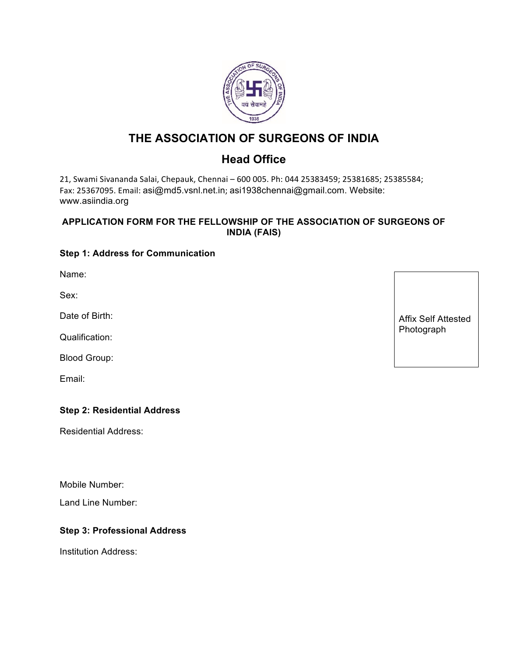

# **THE ASSOCIATION OF SURGEONS OF INDIA**

# **Head Office**

21, Swami Sivananda Salai, Chepauk, Chennai - 600 005. Ph: 044 25383459; 25381685; 25385584; Fax: 25367095. Email: asi@md5.vsnl.net.in; asi1938chennai@gmail.com. Website: www.asiindia.org

#### **APPLICATION FORM FOR THE FELLOWSHIP OF THE ASSOCIATION OF SURGEONS OF INDIA (FAIS)**

### **Step 1: Address for Communication**

Name:

Sex:

Date of Birth:

Qualification:

Blood Group:

Email:

#### **Step 2: Residential Address**

Residential Address:

Mobile Number:

Land Line Number:

#### **Step 3: Professional Address**

Institution Address:

Affix Self Attested Photograph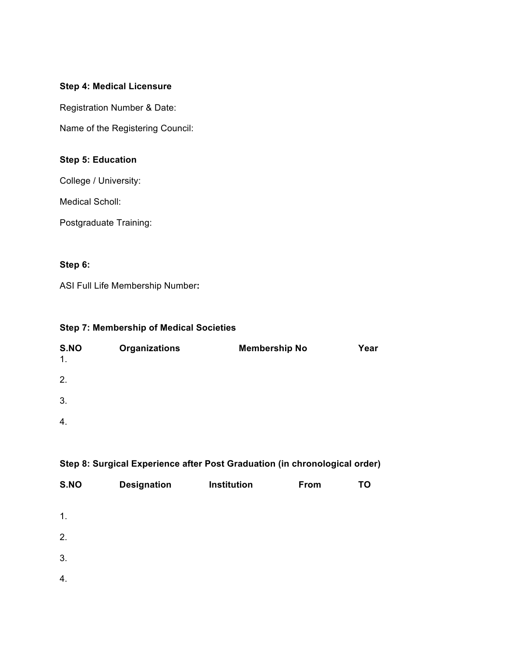#### **Step 4: Medical Licensure**

Registration Number & Date:

Name of the Registering Council:

### **Step 5: Education**

College / University:

Medical Scholl:

Postgraduate Training:

### **Step 6:**

ASI Full Life Membership Number**:**

#### **Step 7: Membership of Medical Societies**

| S.NO<br>1. | <b>Organizations</b> | <b>Membership No</b> | Year |
|------------|----------------------|----------------------|------|
| 2.         |                      |                      |      |
| 3.         |                      |                      |      |
| 4.         |                      |                      |      |
|            |                      |                      |      |

### **Step 8: Surgical Experience after Post Graduation (in chronological order)**

| S.NO | <b>Designation</b> | Institution | From | <b>TO</b> |
|------|--------------------|-------------|------|-----------|
| 1.   |                    |             |      |           |
| 2.   |                    |             |      |           |
| 3.   |                    |             |      |           |
| 4.   |                    |             |      |           |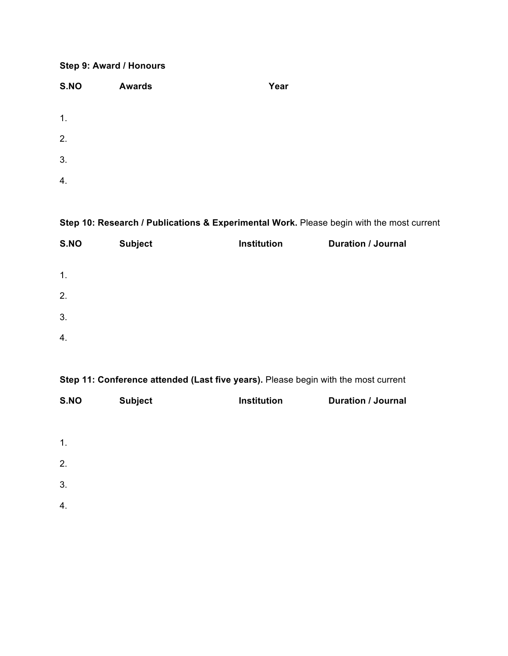### **Step 9: Award / Honours**

| S.NO | <b>Awards</b> | Year |
|------|---------------|------|
| 1.   |               |      |
| 2.   |               |      |
| 3.   |               |      |
| 4.   |               |      |

### **Step 10: Research / Publications & Experimental Work.** Please begin with the most current

| S.NO | <b>Subject</b> | Institution | <b>Duration / Journal</b> |
|------|----------------|-------------|---------------------------|
| 1.   |                |             |                           |
| 2.   |                |             |                           |
| 3.   |                |             |                           |
| 4.   |                |             |                           |

## **Step 11: Conference attended (Last five years).** Please begin with the most current

| S.NO | <b>Subject</b> | Institution | <b>Duration / Journal</b> |
|------|----------------|-------------|---------------------------|
|      |                |             |                           |
| 1.   |                |             |                           |
| 2.   |                |             |                           |
| 3.   |                |             |                           |
| 4.   |                |             |                           |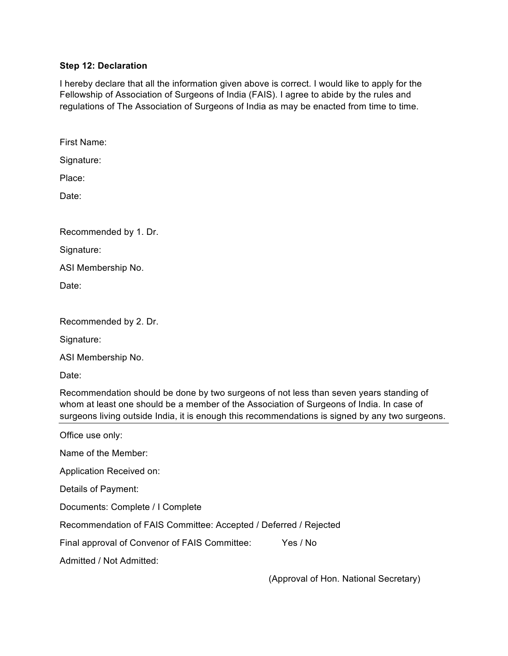#### **Step 12: Declaration**

I hereby declare that all the information given above is correct. I would like to apply for the Fellowship of Association of Surgeons of India (FAIS). I agree to abide by the rules and regulations of The Association of Surgeons of India as may be enacted from time to time.

First Name:

Signature:

Place:

Date:

Recommended by 1. Dr.

Signature:

ASI Membership No.

Date:

| Recommended by 2. Dr. |  |  |
|-----------------------|--|--|
|                       |  |  |

Signature:

ASI Membership No.

Date:

Recommendation should be done by two surgeons of not less than seven years standing of whom at least one should be a member of the Association of Surgeons of India. In case of surgeons living outside India, it is enough this recommendations is signed by any two surgeons.

| Office use only:                                                 |          |
|------------------------------------------------------------------|----------|
| Name of the Member:                                              |          |
| Application Received on:                                         |          |
| Details of Payment:                                              |          |
| Documents: Complete / I Complete                                 |          |
| Recommendation of FAIS Committee: Accepted / Deferred / Rejected |          |
| Final approval of Convenor of FAIS Committee:                    | Yes / No |
| Admitted / Not Admitted:                                         |          |

(Approval of Hon. National Secretary)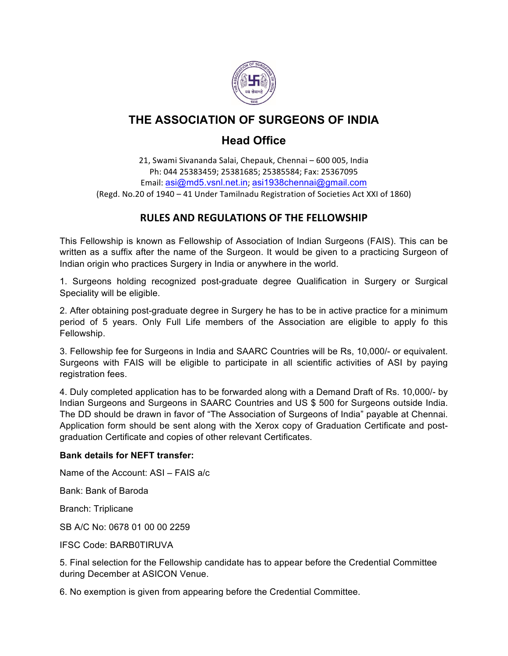

# **THE ASSOCIATION OF SURGEONS OF INDIA**

# **Head Office**

21, Swami Sivananda Salai, Chepauk, Chennai - 600 005, India Ph: 044 25383459; 25381685; 25385584; Fax: 25367095 Email: asi@md5.vsnl.net.in; asi1938chennai@gmail.com (Regd. No.20 of 1940 - 41 Under Tamilnadu Registration of Societies Act XXI of 1860)

## **RULES AND REGULATIONS OF THE FELLOWSHIP**

This Fellowship is known as Fellowship of Association of Indian Surgeons (FAIS). This can be written as a suffix after the name of the Surgeon. It would be given to a practicing Surgeon of Indian origin who practices Surgery in India or anywhere in the world.

1. Surgeons holding recognized post-graduate degree Qualification in Surgery or Surgical Speciality will be eligible.

2. After obtaining post-graduate degree in Surgery he has to be in active practice for a minimum period of 5 years. Only Full Life members of the Association are eligible to apply fo this Fellowship.

3. Fellowship fee for Surgeons in India and SAARC Countries will be Rs, 10,000/- or equivalent. Surgeons with FAIS will be eligible to participate in all scientific activities of ASI by paying registration fees.

4. Duly completed application has to be forwarded along with a Demand Draft of Rs. 10,000/- by Indian Surgeons and Surgeons in SAARC Countries and US \$ 500 for Surgeons outside India. The DD should be drawn in favor of "The Association of Surgeons of India" payable at Chennai. Application form should be sent along with the Xerox copy of Graduation Certificate and postgraduation Certificate and copies of other relevant Certificates.

#### **Bank details for NEFT transfer:**

Name of the Account: ASI – FAIS a/c

Bank: Bank of Baroda

Branch: Triplicane

SB A/C No: 0678 01 00 00 2259

IFSC Code: BARB0TIRUVA

5. Final selection for the Fellowship candidate has to appear before the Credential Committee during December at ASICON Venue.

6. No exemption is given from appearing before the Credential Committee.